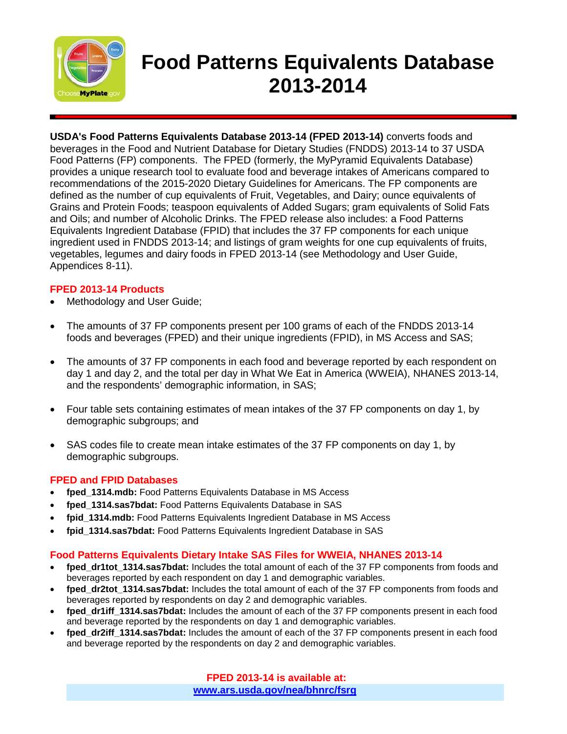

# **Food Patterns Equivalents Database 2013-2014**

**USDA's Food Patterns Equivalents Database 2013-14 (FPED 2013-14)** converts foods and beverages in the Food and Nutrient Database for Dietary Studies (FNDDS) 2013-14 to 37 USDA Food Patterns (FP) components. The FPED (formerly, the MyPyramid Equivalents Database) provides a unique research tool to evaluate food and beverage intakes of Americans compared to recommendations of the 2015-2020 Dietary Guidelines for Americans. The FP components are defined as the number of cup equivalents of Fruit, Vegetables, and Dairy; ounce equivalents of Grains and Protein Foods; teaspoon equivalents of Added Sugars; gram equivalents of Solid Fats and Oils; and number of Alcoholic Drinks. The FPED release also includes: a Food Patterns Equivalents Ingredient Database (FPID) that includes the 37 FP components for each unique ingredient used in FNDDS 2013-14; and listings of gram weights for one cup equivalents of fruits, vegetables, legumes and dairy foods in FPED 2013-14 (see Methodology and User Guide, Appendices 8-11).

#### **FPED 2013-14 Products**

- Methodology and User Guide;
- The amounts of 37 FP components present per 100 grams of each of the FNDDS 2013-14 foods and beverages (FPED) and their unique ingredients (FPID), in MS Access and SAS;
- The amounts of 37 FP components in each food and beverage reported by each respondent on day 1 and day 2, and the total per day in What We Eat in America (WWEIA), NHANES 2013-14, and the respondents' demographic information, in SAS;
- Four table sets containing estimates of mean intakes of the 37 FP components on day 1, by demographic subgroups; and
- SAS codes file to create mean intake estimates of the 37 FP components on day 1, by demographic subgroups.

### **FPED and FPID Databases**

- **fped\_1314.mdb:** Food Patterns Equivalents Database in MS Access
- **fped\_1314.sas7bdat:** Food Patterns Equivalents Database in SAS
- **fpid\_1314.mdb:** Food Patterns Equivalents Ingredient Database in MS Access
- **fpid\_1314.sas7bdat:** Food Patterns Equivalents Ingredient Database in SAS

### **Food Patterns Equivalents Dietary Intake SAS Files for WWEIA, NHANES 2013-14**

- fped dr1tot 1314.sas7bdat: Includes the total amount of each of the 37 FP components from foods and beverages reported by each respondent on day 1 and demographic variables.
- fped dr2tot 1314.sas7bdat: Includes the total amount of each of the 37 FP components from foods and beverages reported by respondents on day 2 and demographic variables.
- **fped\_dr1iff\_1314.sas7bdat:** Includes the amount of each of the 37 FP components present in each food and beverage reported by the respondents on day 1 and demographic variables.
- fped dr2iff 1314.sas7bdat: Includes the amount of each of the 37 FP components present in each food and beverage reported by the respondents on day 2 and demographic variables.